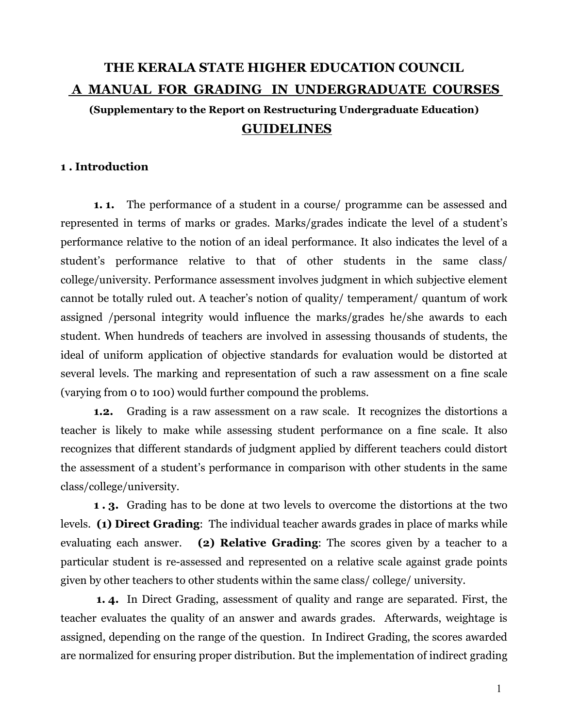# THE KERALA STATE HIGHER EDUCATION COUNCIL A MANUAL FOR GRADING IN UNDERGRADUATE COURSES

# (Supplementary to the Report on Restructuring Undergraduate Education) GUIDELINES

### 1 . Introduction

1. 1. The performance of a student in a course/ programme can be assessed and represented in terms of marks or grades. Marks/grades indicate the level of a student's performance relative to the notion of an ideal performance. It also indicates the level of a student's performance relative to that of other students in the same class/ college/university. Performance assessment involves judgment in which subjective element cannot be totally ruled out. A teacher's notion of quality/ temperament/ quantum of work assigned /personal integrity would influence the marks/grades he/she awards to each student. When hundreds of teachers are involved in assessing thousands of students, the ideal of uniform application of objective standards for evaluation would be distorted at several levels. The marking and representation of such a raw assessment on a fine scale (varying from 0 to 100) would further compound the problems.

1.2. Grading is a raw assessment on a raw scale. It recognizes the distortions a teacher is likely to make while assessing student performance on a fine scale. It also recognizes that different standards of judgment applied by different teachers could distort the assessment of a student's performance in comparison with other students in the same class/college/university.

1 . 3. Grading has to be done at two levels to overcome the distortions at the two levels. (1) Direct Grading: The individual teacher awards grades in place of marks while evaluating each answer. (2) Relative Grading: The scores given by a teacher to a particular student is re-assessed and represented on a relative scale against grade points given by other teachers to other students within the same class/ college/ university.

1. 4. In Direct Grading, assessment of quality and range are separated. First, the teacher evaluates the quality of an answer and awards grades. Afterwards, weightage is assigned, depending on the range of the question. In Indirect Grading, the scores awarded are normalized for ensuring proper distribution. But the implementation of indirect grading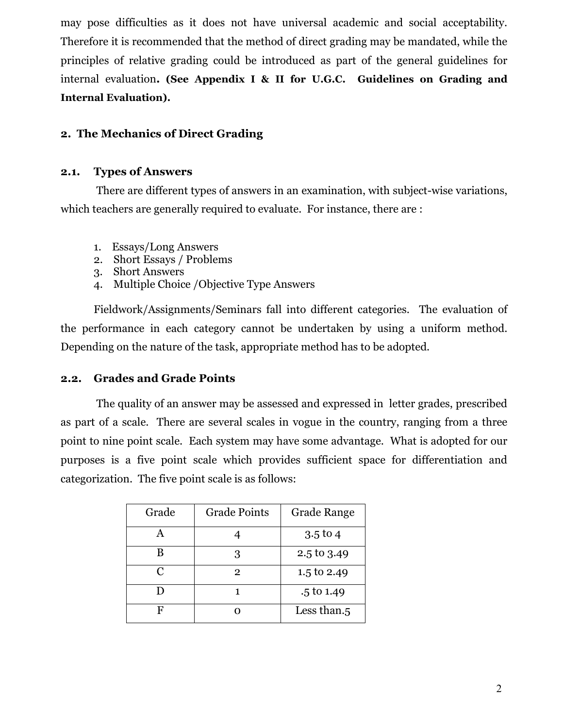may pose difficulties as it does not have universal academic and social acceptability. Therefore it is recommended that the method of direct grading may be mandated, while the principles of relative grading could be introduced as part of the general guidelines for internal evaluation. (See Appendix I & II for U.G.C. Guidelines on Grading and Internal Evaluation).

# 2. The Mechanics of Direct Grading

### 2.1. Types of Answers

 There are different types of answers in an examination, with subject-wise variations, which teachers are generally required to evaluate. For instance, there are :

- 1. Essays/Long Answers
- 2. Short Essays / Problems
- 3. Short Answers
- 4. Multiple Choice /Objective Type Answers

Fieldwork/Assignments/Seminars fall into different categories. The evaluation of the performance in each category cannot be undertaken by using a uniform method. Depending on the nature of the task, appropriate method has to be adopted.

# 2.2. Grades and Grade Points

 The quality of an answer may be assessed and expressed in letter grades, prescribed as part of a scale. There are several scales in vogue in the country, ranging from a three point to nine point scale. Each system may have some advantage. What is adopted for our purposes is a five point scale which provides sufficient space for differentiation and categorization. The five point scale is as follows:

| Grade        | <b>Grade Points</b> | <b>Grade Range</b>    |
|--------------|---------------------|-----------------------|
|              |                     | $3.5$ to 4            |
| R            | 3                   | 2.5 to 3.49           |
| $\mathsf{C}$ | 2                   | 1.5 to 2.49           |
|              |                     | $.5 \text{ to } 1.49$ |
|              |                     | Less than.5           |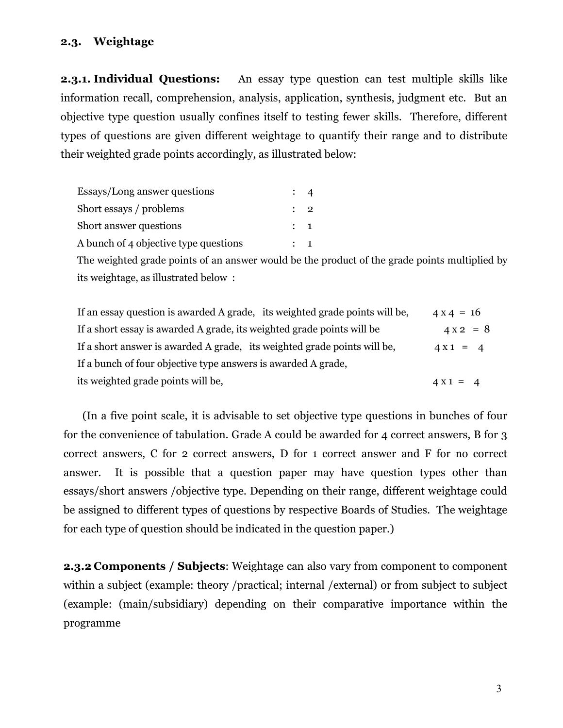### 2.3. Weightage

2.3.1. Individual Questions: An essay type question can test multiple skills like information recall, comprehension, analysis, application, synthesis, judgment etc. But an objective type question usually confines itself to testing fewer skills. Therefore, different types of questions are given different weightage to quantify their range and to distribute their weighted grade points accordingly, as illustrated below:

| Essays/Long answer questions          |                |  |
|---------------------------------------|----------------|--|
| Short essays / problems               | $\therefore$ 2 |  |
| Short answer questions                | $\therefore$ 1 |  |
| A bunch of 4 objective type questions | $\mathbf{1}$   |  |

The weighted grade points of an answer would be the product of the grade points multiplied by its weightage, as illustrated below :

| If an essay question is awarded A grade, its weighted grade points will be, | $4 \times 4 = 16$ |
|-----------------------------------------------------------------------------|-------------------|
| If a short essay is awarded A grade, its weighted grade points will be      | $4 \times 2 = 8$  |
| If a short answer is awarded A grade, its weighted grade points will be,    | $4 X 1 = 4$       |
| If a bunch of four objective type answers is awarded A grade,               |                   |
| its weighted grade points will be,                                          | $4 X 1 = 4$       |

 (In a five point scale, it is advisable to set objective type questions in bunches of four for the convenience of tabulation. Grade A could be awarded for 4 correct answers, B for 3 correct answers, C for 2 correct answers, D for 1 correct answer and F for no correct answer. It is possible that a question paper may have question types other than essays/short answers /objective type. Depending on their range, different weightage could be assigned to different types of questions by respective Boards of Studies. The weightage for each type of question should be indicated in the question paper.)

2.3.2 Components / Subjects: Weightage can also vary from component to component within a subject (example: theory /practical; internal /external) or from subject to subject (example: (main/subsidiary) depending on their comparative importance within the programme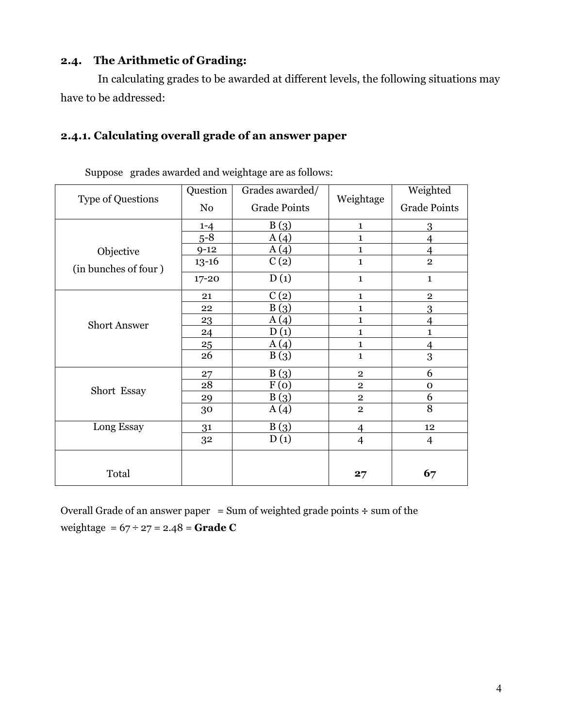# 2.4. The Arithmetic of Grading:

 In calculating grades to be awarded at different levels, the following situations may have to be addressed:

# 2.4.1. Calculating overall grade of an answer paper

| <b>Type of Questions</b>          | Question<br>No                                       | Grades awarded/<br><b>Grade Points</b>                    | Weightage                                                                                                | Weighted<br><b>Grade Points</b>                                            |
|-----------------------------------|------------------------------------------------------|-----------------------------------------------------------|----------------------------------------------------------------------------------------------------------|----------------------------------------------------------------------------|
| Objective<br>(in bunches of four) | $1 - 4$<br>$5 - 8$<br>$9 - 12$<br>$13 - 16$<br>17-20 | B(3)<br>A(4)<br>A(4)<br>C(2)<br>D(1)                      | $\mathbf{1}$<br>$\mathbf{1}$<br>$\mathbf{1}$<br>$\mathbf 1$<br>$\mathbf 1$                               | 3<br>4<br>4<br>$\overline{2}$<br>$\mathbf 1$                               |
| <b>Short Answer</b>               | 21<br>22<br>23<br>24<br>25<br>26                     | C(2)<br>B(3)<br>A(4)<br>D(1)<br>A(4)<br>B(3)              | $\mathbf{1}$<br>1<br>1<br>$\mathbf{1}$<br>$\mathbf{1}$<br>$\mathbf{1}$                                   | $\mathbf{2}$<br>3<br>$\overline{4}$<br>$\mathbf{1}$<br>$\overline{4}$<br>3 |
| Short Essay<br>Long Essay         | 27<br>$\overline{28}$<br>29<br>30<br>31<br>32        | B(3)<br>$\overline{F}(0)$<br>B(3)<br>A(4)<br>B(3)<br>D(1) | $\overline{2}$<br>$\overline{2}$<br>$\overline{2}$<br>$\overline{2}$<br>$\overline{4}$<br>$\overline{4}$ | 6<br>$\mathbf 0$<br>6<br>8<br>12<br>$\overline{4}$                         |
| Total                             |                                                      |                                                           | 27                                                                                                       | 67                                                                         |

Suppose grades awarded and weightage are as follows:

Overall Grade of an answer paper = Sum of weighted grade points  $\div$  sum of the weightage =  $67 \div 27 = 2.48 =$ **Grade C**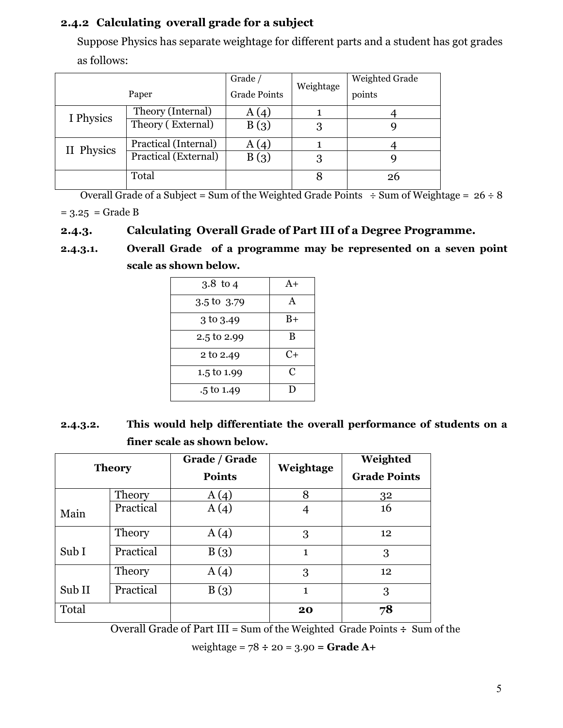# 2.4.2 Calculating overall grade for a subject

Suppose Physics has separate weightage for different parts and a student has got grades as follows:

|            |                      | Grade $/$           | Weightage | Weighted Grade |
|------------|----------------------|---------------------|-----------|----------------|
| Paper      |                      | <b>Grade Points</b> |           | points         |
| I Physics  | Theory (Internal)    | A(4)                |           |                |
|            | Theory (External)    | B(3)                | 3         |                |
| II Physics | Practical (Internal) | A(4)                |           |                |
|            | Practical (External) | B(3)                | 3         |                |
|            | Total                |                     |           | 26             |

Overall Grade of a Subject = Sum of the Weighted Grade Points  $\div$  Sum of Weightage = 26  $\div$  8  $= 3.25$  = Grade B

# 2.4.3. Calculating Overall Grade of Part III of a Degree Programme.

2.4.3.1. Overall Grade of a programme may be represented on a seven point scale as shown below.

| $3.8$ to 4            | $A+$ |
|-----------------------|------|
| 3.5 to 3.79           | A    |
| 3 to 3.49             | $B+$ |
| 2.5 to 2.99           | B    |
| 2 to 2.49             | $C+$ |
| 1.5 to 1.99           | C    |
| $.5 \text{ to } 1.49$ | Ð    |

2.4.3.2. This would help differentiate the overall performance of students on a finer scale as shown below.

| <b>Theory</b> |           | Grade / Grade<br><b>Points</b> | Weightage    | Weighted<br><b>Grade Points</b> |  |
|---------------|-----------|--------------------------------|--------------|---------------------------------|--|
|               | Theory    | A(4)                           | 8            | 32                              |  |
| Main          | Practical | A(4)                           |              | 16                              |  |
|               | Theory    | A(4)                           | 3            | 12                              |  |
| Sub I         | Practical | B(3)                           | $\mathbf{1}$ | 3                               |  |
|               | Theory    | A(4)                           | 3            | 12                              |  |
| Sub II        | Practical | B(3)                           | $\mathbf{1}$ | 3                               |  |
| Total         |           |                                | 20           | 78                              |  |

Overall Grade of Part III = Sum of the Weighted Grade Points  $\div$  Sum of the

weightage =  $78 \div 20 = 3.90 =$ **Grade A+**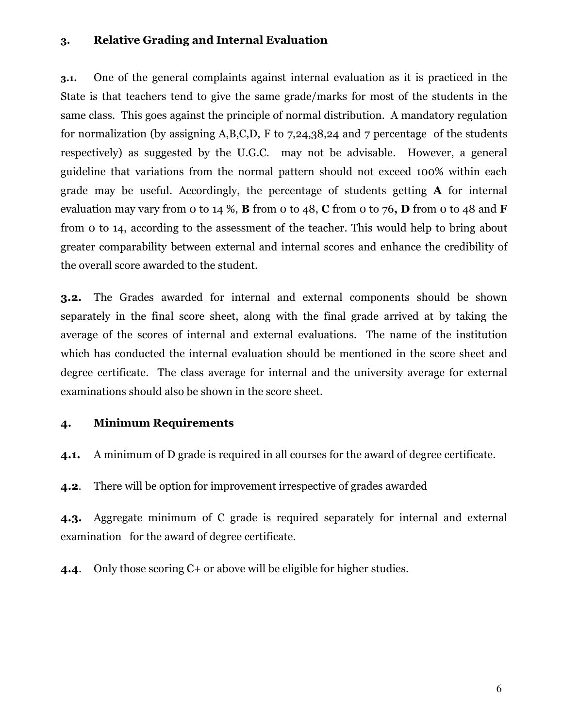### 3. Relative Grading and Internal Evaluation

3.1. One of the general complaints against internal evaluation as it is practiced in the State is that teachers tend to give the same grade/marks for most of the students in the same class. This goes against the principle of normal distribution. A mandatory regulation for normalization (by assigning A,B,C,D, F to 7,24,38,24 and 7 percentage of the students respectively) as suggested by the U.G.C. may not be advisable. However, a general guideline that variations from the normal pattern should not exceed 100% within each grade may be useful. Accordingly, the percentage of students getting A for internal evaluation may vary from 0 to 14 %, **B** from 0 to 48, **C** from 0 to 76, **D** from 0 to 48 and **F** from 0 to 14, according to the assessment of the teacher. This would help to bring about greater comparability between external and internal scores and enhance the credibility of the overall score awarded to the student.

3.2. The Grades awarded for internal and external components should be shown separately in the final score sheet, along with the final grade arrived at by taking the average of the scores of internal and external evaluations. The name of the institution which has conducted the internal evaluation should be mentioned in the score sheet and degree certificate. The class average for internal and the university average for external examinations should also be shown in the score sheet.

### 4. Minimum Requirements

4.1. A minimum of D grade is required in all courses for the award of degree certificate.

4.2. There will be option for improvement irrespective of grades awarded

4.3. Aggregate minimum of C grade is required separately for internal and external examination for the award of degree certificate.

4.4. Only those scoring C+ or above will be eligible for higher studies.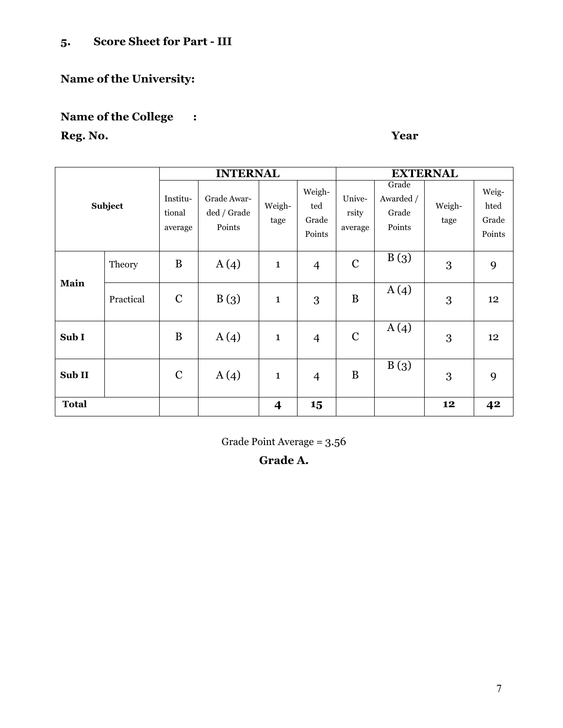# 5. Score Sheet for Part - III

# Name of the University:

# Name of the College :

# Reg. No. Year

|              |           | <b>INTERNAL</b>               |                                      |                         |                                  | <b>EXTERNAL</b>            |                                       |                |                                  |
|--------------|-----------|-------------------------------|--------------------------------------|-------------------------|----------------------------------|----------------------------|---------------------------------------|----------------|----------------------------------|
|              | Subject   | Institu-<br>tional<br>average | Grade Awar-<br>ded / Grade<br>Points | Weigh-<br>tage          | Weigh-<br>ted<br>Grade<br>Points | Unive-<br>rsity<br>average | Grade<br>Awarded /<br>Grade<br>Points | Weigh-<br>tage | Weig-<br>hted<br>Grade<br>Points |
| Main         | Theory    | B                             | A(4)                                 | $\mathbf{1}$            | 4                                | $\mathbf C$                | B(3)                                  | 3              | 9                                |
|              | Practical | $\mathbf C$                   | B(3)                                 | $\mathbf{1}$            | 3                                | B                          | A(4)                                  | 3              | 12                               |
| Sub I        |           | B                             | A(4)                                 | $\mathbf{1}$            | $\overline{4}$                   | $\mathcal{C}$              | A(4)                                  | 3              | 12                               |
| Sub II       |           | $\mathbf C$                   | A(4)                                 | $\mathbf{1}$            | $\overline{4}$                   | B                          | B(3)                                  | 3              | 9                                |
| <b>Total</b> |           |                               |                                      | $\overline{\mathbf{4}}$ | 15                               |                            |                                       | 12             | 42                               |

Grade Point Average = 3.56

# Grade A.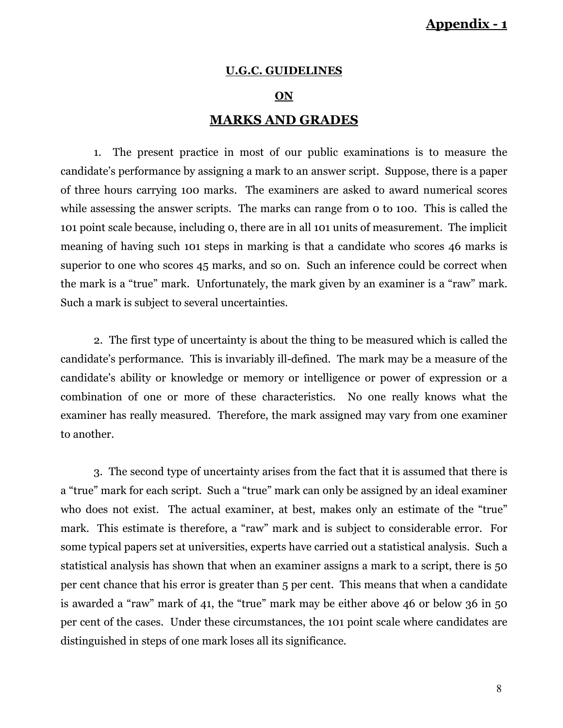# Appendix - 1

### U.G.C. GUIDELINES

#### ON

### MARKS AND GRADES

 1. The present practice in most of our public examinations is to measure the candidate's performance by assigning a mark to an answer script. Suppose, there is a paper of three hours carrying 100 marks. The examiners are asked to award numerical scores while assessing the answer scripts. The marks can range from 0 to 100. This is called the 101 point scale because, including 0, there are in all 101 units of measurement. The implicit meaning of having such 101 steps in marking is that a candidate who scores 46 marks is superior to one who scores 45 marks, and so on. Such an inference could be correct when the mark is a "true" mark. Unfortunately, the mark given by an examiner is a "raw" mark. Such a mark is subject to several uncertainties.

 2. The first type of uncertainty is about the thing to be measured which is called the candidate's performance. This is invariably ill-defined. The mark may be a measure of the candidate's ability or knowledge or memory or intelligence or power of expression or a combination of one or more of these characteristics. No one really knows what the examiner has really measured. Therefore, the mark assigned may vary from one examiner to another.

 3. The second type of uncertainty arises from the fact that it is assumed that there is a "true" mark for each script. Such a "true" mark can only be assigned by an ideal examiner who does not exist. The actual examiner, at best, makes only an estimate of the "true" mark. This estimate is therefore, a "raw" mark and is subject to considerable error. For some typical papers set at universities, experts have carried out a statistical analysis. Such a statistical analysis has shown that when an examiner assigns a mark to a script, there is 50 per cent chance that his error is greater than 5 per cent. This means that when a candidate is awarded a "raw" mark of 41, the "true" mark may be either above 46 or below 36 in 50 per cent of the cases. Under these circumstances, the 101 point scale where candidates are distinguished in steps of one mark loses all its significance.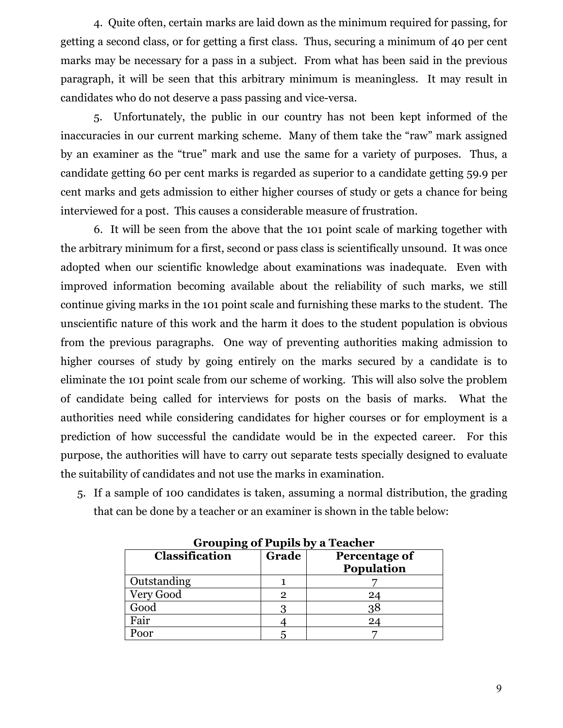4. Quite often, certain marks are laid down as the minimum required for passing, for getting a second class, or for getting a first class. Thus, securing a minimum of 40 per cent marks may be necessary for a pass in a subject. From what has been said in the previous paragraph, it will be seen that this arbitrary minimum is meaningless. It may result in candidates who do not deserve a pass passing and vice-versa.

 5. Unfortunately, the public in our country has not been kept informed of the inaccuracies in our current marking scheme. Many of them take the "raw" mark assigned by an examiner as the "true" mark and use the same for a variety of purposes. Thus, a candidate getting 60 per cent marks is regarded as superior to a candidate getting 59.9 per cent marks and gets admission to either higher courses of study or gets a chance for being interviewed for a post. This causes a considerable measure of frustration.

 6. It will be seen from the above that the 101 point scale of marking together with the arbitrary minimum for a first, second or pass class is scientifically unsound. It was once adopted when our scientific knowledge about examinations was inadequate. Even with improved information becoming available about the reliability of such marks, we still continue giving marks in the 101 point scale and furnishing these marks to the student. The unscientific nature of this work and the harm it does to the student population is obvious from the previous paragraphs. One way of preventing authorities making admission to higher courses of study by going entirely on the marks secured by a candidate is to eliminate the 101 point scale from our scheme of working. This will also solve the problem of candidate being called for interviews for posts on the basis of marks. What the authorities need while considering candidates for higher courses or for employment is a prediction of how successful the candidate would be in the expected career. For this purpose, the authorities will have to carry out separate tests specially designed to evaluate the suitability of candidates and not use the marks in examination.

5. If a sample of 100 candidates is taken, assuming a normal distribution, the grading that can be done by a teacher or an examiner is shown in the table below:

| Classification | Grade | Grouping of Pupils by a Teacher<br>Percentage of<br>Population |
|----------------|-------|----------------------------------------------------------------|
| Outstanding    |       |                                                                |
| Very Good      | 2     | 24                                                             |
| Good           |       | 38                                                             |
| Fair           |       | 24                                                             |
| Poor           |       |                                                                |

Grouping of Pupils by a Teacher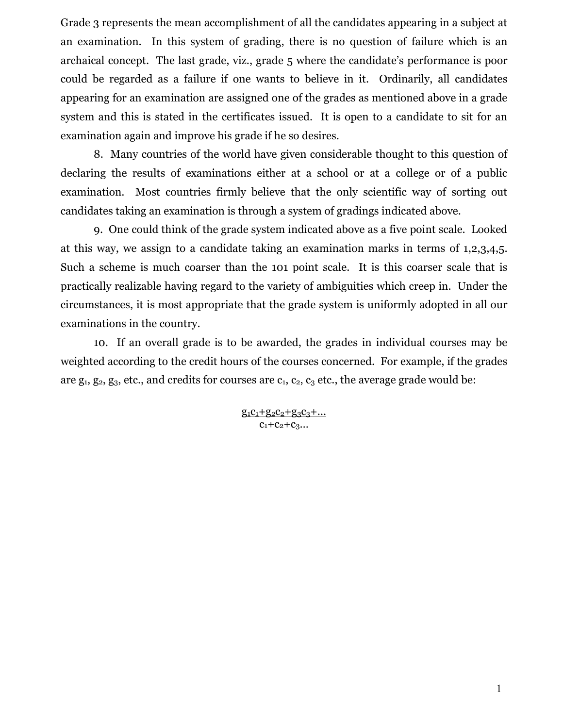Grade 3 represents the mean accomplishment of all the candidates appearing in a subject at an examination. In this system of grading, there is no question of failure which is an archaical concept. The last grade, viz., grade 5 where the candidate's performance is poor could be regarded as a failure if one wants to believe in it. Ordinarily, all candidates appearing for an examination are assigned one of the grades as mentioned above in a grade system and this is stated in the certificates issued. It is open to a candidate to sit for an examination again and improve his grade if he so desires.

 8. Many countries of the world have given considerable thought to this question of declaring the results of examinations either at a school or at a college or of a public examination. Most countries firmly believe that the only scientific way of sorting out candidates taking an examination is through a system of gradings indicated above.

 9. One could think of the grade system indicated above as a five point scale. Looked at this way, we assign to a candidate taking an examination marks in terms of 1,2,3,4,5. Such a scheme is much coarser than the 101 point scale. It is this coarser scale that is practically realizable having regard to the variety of ambiguities which creep in. Under the circumstances, it is most appropriate that the grade system is uniformly adopted in all our examinations in the country.

 10. If an overall grade is to be awarded, the grades in individual courses may be weighted according to the credit hours of the courses concerned. For example, if the grades are  $g_1, g_2, g_3$ , etc., and credits for courses are  $c_1, c_2, c_3$  etc., the average grade would be:

> $g_1c_1+g_2c_2+g_3c_3+...$  $C_1+C_2+C_3...$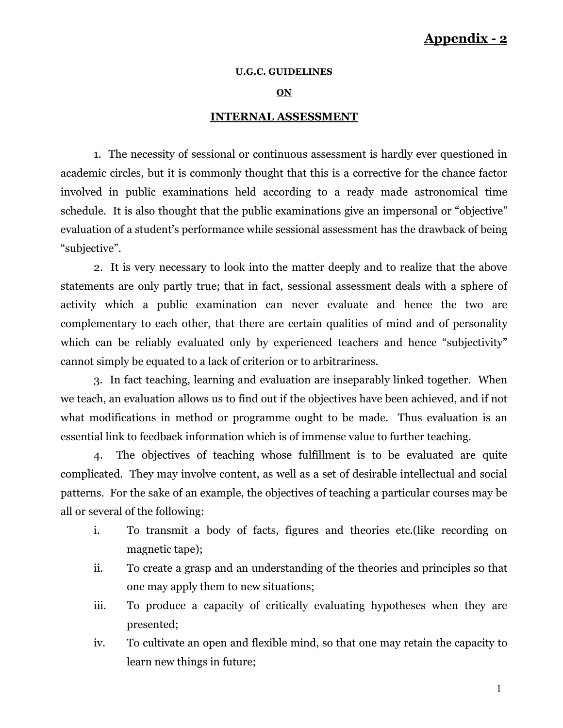# Appendix - 2

#### U.G.C. GUIDELINES

#### ON

### INTERNAL ASSESSMENT

 1. The necessity of sessional or continuous assessment is hardly ever questioned in academic circles, but it is commonly thought that this is a corrective for the chance factor involved in public examinations held according to a ready made astronomical time schedule. It is also thought that the public examinations give an impersonal or "objective" evaluation of a student's performance while sessional assessment has the drawback of being "subjective".

 2. It is very necessary to look into the matter deeply and to realize that the above statements are only partly true; that in fact, sessional assessment deals with a sphere of activity which a public examination can never evaluate and hence the two are complementary to each other, that there are certain qualities of mind and of personality which can be reliably evaluated only by experienced teachers and hence "subjectivity" cannot simply be equated to a lack of criterion or to arbitrariness.

 3. In fact teaching, learning and evaluation are inseparably linked together. When we teach, an evaluation allows us to find out if the objectives have been achieved, and if not what modifications in method or programme ought to be made. Thus evaluation is an essential link to feedback information which is of immense value to further teaching.

 4. The objectives of teaching whose fulfillment is to be evaluated are quite complicated. They may involve content, as well as a set of desirable intellectual and social patterns. For the sake of an example, the objectives of teaching a particular courses may be all or several of the following:

- i. To transmit a body of facts, figures and theories etc.(like recording on magnetic tape);
- ii. To create a grasp and an understanding of the theories and principles so that one may apply them to new situations;
- iii. To produce a capacity of critically evaluating hypotheses when they are presented;
- iv. To cultivate an open and flexible mind, so that one may retain the capacity to learn new things in future;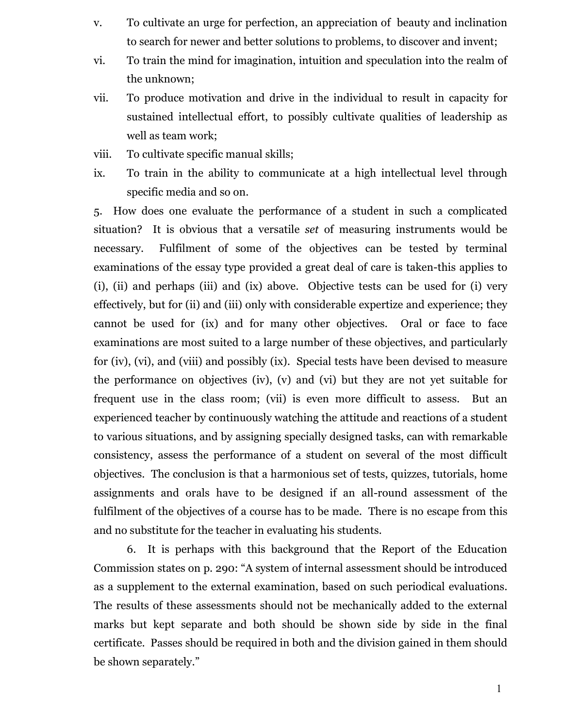- v. To cultivate an urge for perfection, an appreciation of beauty and inclination to search for newer and better solutions to problems, to discover and invent;
- vi. To train the mind for imagination, intuition and speculation into the realm of the unknown;
- vii. To produce motivation and drive in the individual to result in capacity for sustained intellectual effort, to possibly cultivate qualities of leadership as well as team work;
- viii. To cultivate specific manual skills;
- ix. To train in the ability to communicate at a high intellectual level through specific media and so on.

5. How does one evaluate the performance of a student in such a complicated situation? It is obvious that a versatile set of measuring instruments would be necessary. Fulfilment of some of the objectives can be tested by terminal examinations of the essay type provided a great deal of care is taken-this applies to (i), (ii) and perhaps (iii) and (ix) above. Objective tests can be used for (i) very effectively, but for (ii) and (iii) only with considerable expertize and experience; they cannot be used for (ix) and for many other objectives. Oral or face to face examinations are most suited to a large number of these objectives, and particularly for (iv), (vi), and (viii) and possibly (ix). Special tests have been devised to measure the performance on objectives (iv), (v) and (vi) but they are not yet suitable for frequent use in the class room; (vii) is even more difficult to assess. But an experienced teacher by continuously watching the attitude and reactions of a student to various situations, and by assigning specially designed tasks, can with remarkable consistency, assess the performance of a student on several of the most difficult objectives. The conclusion is that a harmonious set of tests, quizzes, tutorials, home assignments and orals have to be designed if an all-round assessment of the fulfilment of the objectives of a course has to be made. There is no escape from this and no substitute for the teacher in evaluating his students.

 6. It is perhaps with this background that the Report of the Education Commission states on p. 290: "A system of internal assessment should be introduced as a supplement to the external examination, based on such periodical evaluations. The results of these assessments should not be mechanically added to the external marks but kept separate and both should be shown side by side in the final certificate. Passes should be required in both and the division gained in them should be shown separately."